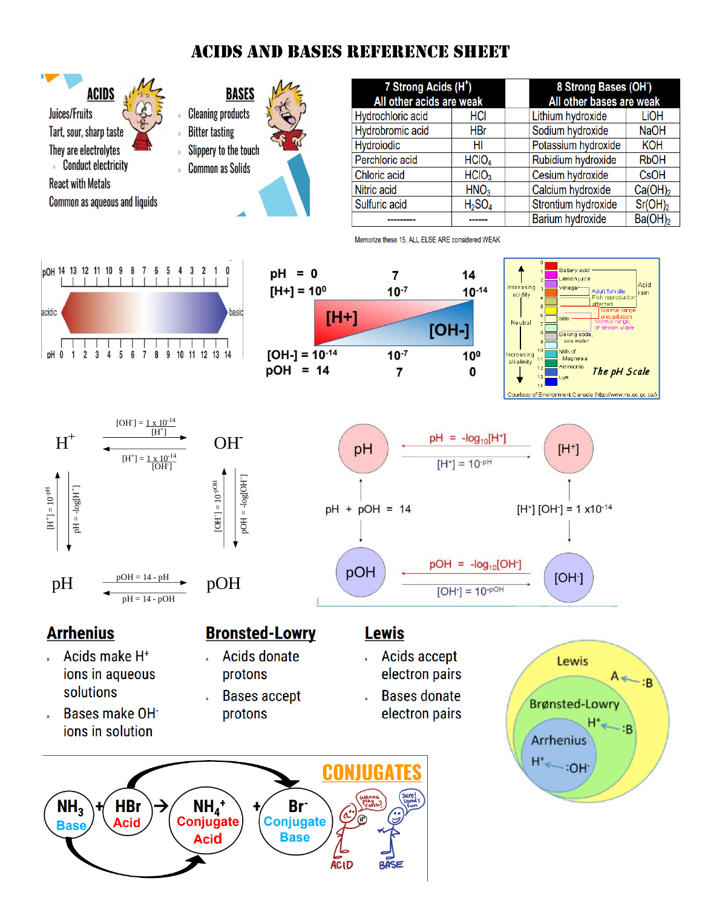# **ACIDS AND BASES REFERENCE SHEET**







pH

 $pH + pOH = 14$ 

pOH



 $[H^+]$ 

 $[H^+]$  [OH $=$  1 x10<sup>-14</sup>

 $[OH<sup>-1</sup>]$ 



 $pH = 14 - pOH$ 



- Acids make H<sup>+</sup> ions in aqueous solutions
- Bases make OH<sup>-</sup> ions in solution

## **Bronsted-Lowry**

- **Acids donate** protons
- **Bases accept** protons

#### **Lewis**

**Acids accept** electron pairs

 $pH = -log_{10}[H^+]$ 

 $[H^+] = 10^{-pH}$ 

 $pOH = -log_{10}[OH^{-}]$ 

 $[OH<sup>-</sup>] = 10<sup>-pO+</sup>$ 

**Bases donate** electron pairs



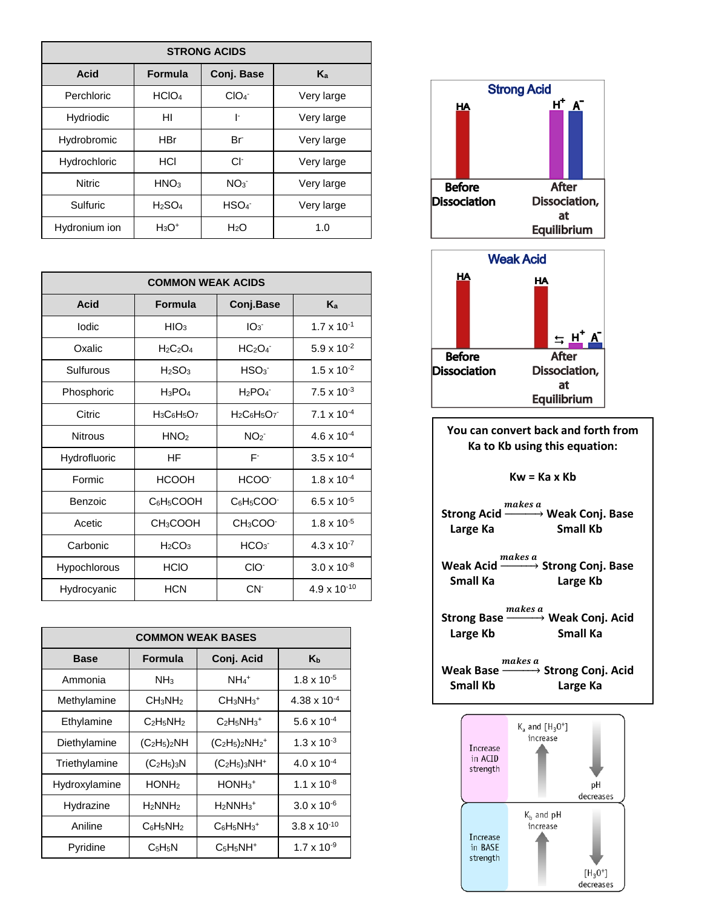| <b>STRONG ACIDS</b> |                                |                  |            |  |  |  |
|---------------------|--------------------------------|------------------|------------|--|--|--|
| Acid                | <b>Formula</b>                 | Conj. Base       | $K_{a}$    |  |  |  |
| Perchloric          | HCIO <sub>4</sub>              | ClO <sub>4</sub> | Very large |  |  |  |
| Hydriodic           | HI                             | ŀ                | Very large |  |  |  |
| Hydrobromic         | <b>HBr</b>                     | Br               | Very large |  |  |  |
| Hydrochloric        | HCI                            | CF.              | Very large |  |  |  |
| <b>Nitric</b>       | HNO <sub>3</sub>               | NO <sub>3</sub>  | Very large |  |  |  |
| Sulfuric            | H <sub>2</sub> SO <sub>4</sub> | HSO <sub>4</sub> | Very large |  |  |  |
| Hydronium ion       | $H_3O^+$                       | H <sub>2</sub> O | 1.0        |  |  |  |

| <b>COMMON WEAK ACIDS</b> |                                                             |                                   |                       |  |  |
|--------------------------|-------------------------------------------------------------|-----------------------------------|-----------------------|--|--|
| Acid                     | <b>Formula</b>                                              | Conj.Base                         | $K_{a}$               |  |  |
| lodic                    | HIO <sub>3</sub>                                            | IO <sub>3</sub>                   | $1.7 \times 10^{-1}$  |  |  |
| Oxalic                   | $H_2C_2O_4$                                                 | HC <sub>2</sub> O <sub>4</sub>    | $5.9 \times 10^{-2}$  |  |  |
| Sulfurous                | $H_2SO_3$                                                   | HSO <sub>3</sub>                  | $1.5 \times 10^{-2}$  |  |  |
| Phosphoric               | $H_3PO_4$                                                   | $H_2PO_4^-$                       | $7.5 \times 10^{-3}$  |  |  |
| Citric                   | H <sub>3</sub> C <sub>6</sub> H <sub>5</sub> O <sub>7</sub> | $H_2C_6H_5O_7$                    | $7.1 \times 10^{-4}$  |  |  |
| <b>Nitrous</b>           | HNO <sub>2</sub>                                            | NO <sub>2</sub>                   | $4.6 \times 10^{-4}$  |  |  |
| Hydrofluoric             | HF                                                          | F٠                                | $3.5 \times 10^{-4}$  |  |  |
| Formic                   | <b>HCOOH</b>                                                | HCOO <sup>-</sup>                 | $1.8 \times 10^{-4}$  |  |  |
| Benzoic                  | C6H <sub>5</sub> COOH                                       | C6H <sub>5</sub> COO <sup>-</sup> | $6.5 \times 10^{-5}$  |  |  |
| Acetic                   | CH <sub>3</sub> COOH                                        | CH <sub>3</sub> COO-              | $1.8 \times 10^{-5}$  |  |  |
| Carbonic                 | H <sub>2</sub> CO <sub>3</sub>                              | HCO <sub>3</sub>                  | $4.3 \times 10^{-7}$  |  |  |
| Hypochlorous             | <b>HCIO</b>                                                 | CIO <sup>-</sup>                  | $3.0 \times 10^{-8}$  |  |  |
| Hydrocyanic              | <b>HCN</b>                                                  | CN <sup>-</sup>                   | $4.9 \times 10^{-10}$ |  |  |

| <b>COMMON WEAK BASES</b> |                                 |                             |                       |  |  |
|--------------------------|---------------------------------|-----------------------------|-----------------------|--|--|
| <b>Base</b>              | <b>Formula</b>                  | Conj. Acid                  | Kь                    |  |  |
| Ammonia                  | NH <sub>3</sub>                 | $NH_4$ <sup>+</sup>         | $1.8 \times 10^{-5}$  |  |  |
| Methylamine              | CH <sub>3</sub> NH <sub>2</sub> | $CH3NH3+$                   | $4.38 \times 10^{-4}$ |  |  |
| Ethylamine               | $C_2H_5NH_2$                    | $C_2H_5NH_3^+$              | 5.6 x $10^{-4}$       |  |  |
| Diethylamine             | $(C_2H_5)_2NH$                  | $(C_2H_5)_2NH_2^+$          | $1.3 \times 10^{-3}$  |  |  |
| Triethylamine            | $(C2H5)3N$                      | $(C_2H_5)_3NH^+$            | $4.0 \times 10^{-4}$  |  |  |
| Hydroxylamine            | HONH <sub>2</sub>               | $HONH3$ <sup>+</sup>        | $1.1 \times 10^{-8}$  |  |  |
| Hydrazine                | $H_2$ NNH <sub>2</sub>          | $H_2$ NN $H_3$ <sup>+</sup> | $3.0 \times 10^{-6}$  |  |  |
| Aniline                  | $C_6H_5NH_2$                    | C6H5NH3 <sup>+</sup>        | $3.8 \times 10^{-10}$ |  |  |
| Pyridine                 | C <sub>5</sub> H <sub>5</sub> N | $C_5H_5NH^+$                | $1.7 \times 10^{-9}$  |  |  |